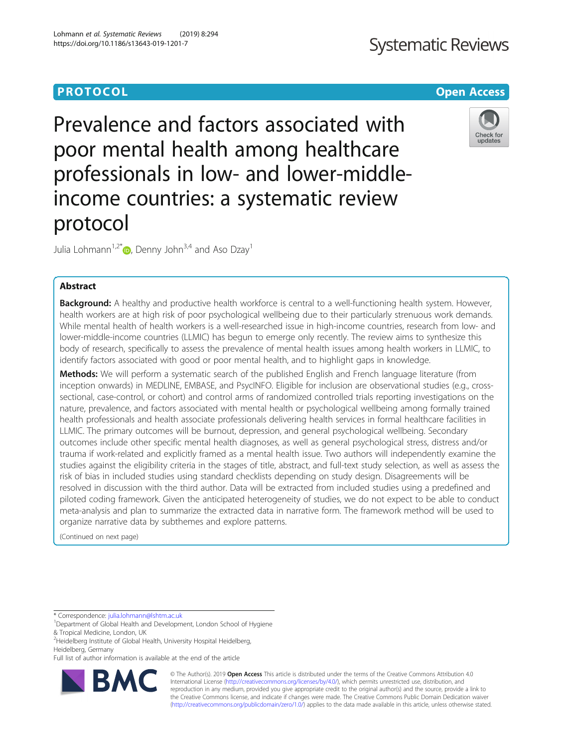Prevalence and factors associated with poor mental health among healthcare professionals in low- and lower-middleincome countries: a systematic review protocol

Julia Lohmann<sup>1[,](http://orcid.org/0000-0003-4136-9296)2\*</sup>  $\bullet$ , Denny John<sup>3,4</sup> and Aso Dzay<sup>1</sup>

# Abstract

Background: A healthy and productive health workforce is central to a well-functioning health system. However, health workers are at high risk of poor psychological wellbeing due to their particularly strenuous work demands. While mental health of health workers is a well-researched issue in high-income countries, research from low- and lower-middle-income countries (LLMIC) has begun to emerge only recently. The review aims to synthesize this body of research, specifically to assess the prevalence of mental health issues among health workers in LLMIC, to identify factors associated with good or poor mental health, and to highlight gaps in knowledge.

Methods: We will perform a systematic search of the published English and French language literature (from inception onwards) in MEDLINE, EMBASE, and PsycINFO. Eligible for inclusion are observational studies (e.g., crosssectional, case-control, or cohort) and control arms of randomized controlled trials reporting investigations on the nature, prevalence, and factors associated with mental health or psychological wellbeing among formally trained health professionals and health associate professionals delivering health services in formal healthcare facilities in LLMIC. The primary outcomes will be burnout, depression, and general psychological wellbeing. Secondary outcomes include other specific mental health diagnoses, as well as general psychological stress, distress and/or trauma if work-related and explicitly framed as a mental health issue. Two authors will independently examine the studies against the eligibility criteria in the stages of title, abstract, and full-text study selection, as well as assess the risk of bias in included studies using standard checklists depending on study design. Disagreements will be resolved in discussion with the third author. Data will be extracted from included studies using a predefined and piloted coding framework. Given the anticipated heterogeneity of studies, we do not expect to be able to conduct meta-analysis and plan to summarize the extracted data in narrative form. The framework method will be used to organize narrative data by subthemes and explore patterns.

(Continued on next page)

\* Correspondence: [julia.lohmann@lshtm.ac.uk](mailto:julia.lohmann@lshtm.ac.uk) <sup>1</sup>

<sup>1</sup>Department of Global Health and Development, London School of Hygiene & Tropical Medicine, London, UK

Full list of author information is available at the end of the article



Lohmann et al. Systematic Reviews (2019) 8:294

R7

© The Author(s). 2019 **Open Access** This article is distributed under the terms of the Creative Commons Attribution 4.0 International License [\(http://creativecommons.org/licenses/by/4.0/](http://creativecommons.org/licenses/by/4.0/)), which permits unrestricted use, distribution, and reproduction in any medium, provided you give appropriate credit to the original author(s) and the source, provide a link to the Creative Commons license, and indicate if changes were made. The Creative Commons Public Domain Dedication waiver [\(http://creativecommons.org/publicdomain/zero/1.0/](http://creativecommons.org/publicdomain/zero/1.0/)) applies to the data made available in this article, unless otherwise stated.





<sup>&</sup>lt;sup>2</sup>Heidelberg Institute of Global Health, University Hospital Heidelberg, Heidelberg, Germany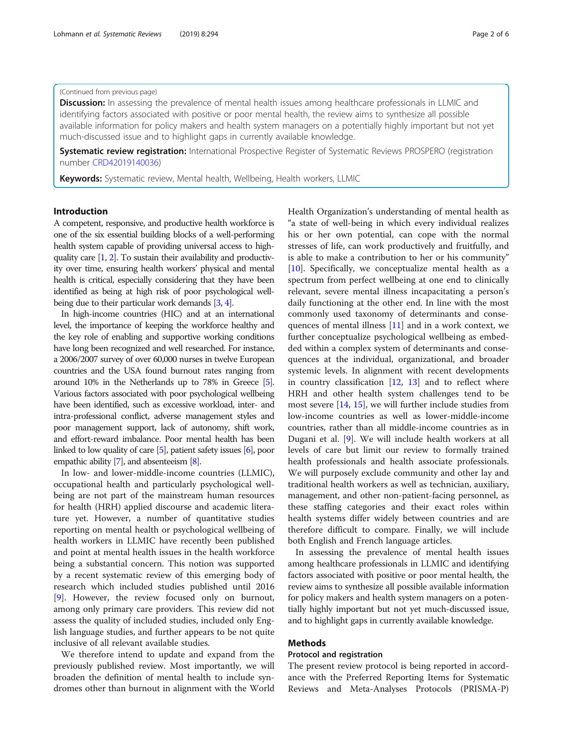## (Continued from previous page)

Discussion: In assessing the prevalence of mental health issues among healthcare professionals in LLMIC and identifying factors associated with positive or poor mental health, the review aims to synthesize all possible available information for policy makers and health system managers on a potentially highly important but not yet much-discussed issue and to highlight gaps in currently available knowledge.

**Systematic review registration:** International Prospective Register of Systematic Reviews PROSPERO (registration number [CRD42019140036\)](https://www.crd.york.ac.uk/prospero/display_record.php?RecordID=140036)

Keywords: Systematic review, Mental health, Wellbeing, Health workers, LLMIC

## Introduction

A competent, responsive, and productive health workforce is one of the six essential building blocks of a well-performing health system capable of providing universal access to highquality care [\[1](#page-5-0), [2](#page-5-0)]. To sustain their availability and productivity over time, ensuring health workers' physical and mental health is critical, especially considering that they have been identified as being at high risk of poor psychological wellbeing due to their particular work demands [\[3](#page-5-0), [4](#page-5-0)].

In high-income countries (HIC) and at an international level, the importance of keeping the workforce healthy and the key role of enabling and supportive working conditions have long been recognized and well researched. For instance, a 2006/2007 survey of over 60,000 nurses in twelve European countries and the USA found burnout rates ranging from around 10% in the Netherlands up to 78% in Greece [\[5\]](#page-5-0). Various factors associated with poor psychological wellbeing have been identified, such as excessive workload, inter- and intra-professional conflict, adverse management styles and poor management support, lack of autonomy, shift work, and effort-reward imbalance. Poor mental health has been linked to low quality of care [\[5](#page-5-0)], patient safety issues [\[6\]](#page-5-0), poor empathic ability [\[7\]](#page-5-0), and absenteeism [[8](#page-5-0)].

In low- and lower-middle-income countries (LLMIC), occupational health and particularly psychological wellbeing are not part of the mainstream human resources for health (HRH) applied discourse and academic literature yet. However, a number of quantitative studies reporting on mental health or psychological wellbeing of health workers in LLMIC have recently been published and point at mental health issues in the health workforce being a substantial concern. This notion was supported by a recent systematic review of this emerging body of research which included studies published until 2016 [[9\]](#page-5-0). However, the review focused only on burnout, among only primary care providers. This review did not assess the quality of included studies, included only English language studies, and further appears to be not quite inclusive of all relevant available studies.

We therefore intend to update and expand from the previously published review. Most importantly, we will broaden the definition of mental health to include syndromes other than burnout in alignment with the World Health Organization's understanding of mental health as "a state of well-being in which every individual realizes his or her own potential, can cope with the normal stresses of life, can work productively and fruitfully, and is able to make a contribution to her or his community" [[10\]](#page-5-0). Specifically, we conceptualize mental health as a spectrum from perfect wellbeing at one end to clinically relevant, severe mental illness incapacitating a person's daily functioning at the other end. In line with the most commonly used taxonomy of determinants and consequences of mental illness [[11\]](#page-5-0) and in a work context, we further conceptualize psychological wellbeing as embedded within a complex system of determinants and consequences at the individual, organizational, and broader systemic levels. In alignment with recent developments in country classification  $[12, 13]$  $[12, 13]$  $[12, 13]$  $[12, 13]$  and to reflect where HRH and other health system challenges tend to be most severe [\[14,](#page-5-0) [15\]](#page-5-0), we will further include studies from low-income countries as well as lower-middle-income countries, rather than all middle-income countries as in Dugani et al. [\[9](#page-5-0)]. We will include health workers at all levels of care but limit our review to formally trained health professionals and health associate professionals. We will purposely exclude community and other lay and traditional health workers as well as technician, auxiliary, management, and other non-patient-facing personnel, as these staffing categories and their exact roles within health systems differ widely between countries and are therefore difficult to compare. Finally, we will include both English and French language articles.

In assessing the prevalence of mental health issues among healthcare professionals in LLMIC and identifying factors associated with positive or poor mental health, the review aims to synthesize all possible available information for policy makers and health system managers on a potentially highly important but not yet much-discussed issue, and to highlight gaps in currently available knowledge.

# Methods

#### Protocol and registration

The present review protocol is being reported in accordance with the Preferred Reporting Items for Systematic Reviews and Meta-Analyses Protocols (PRISMA-P)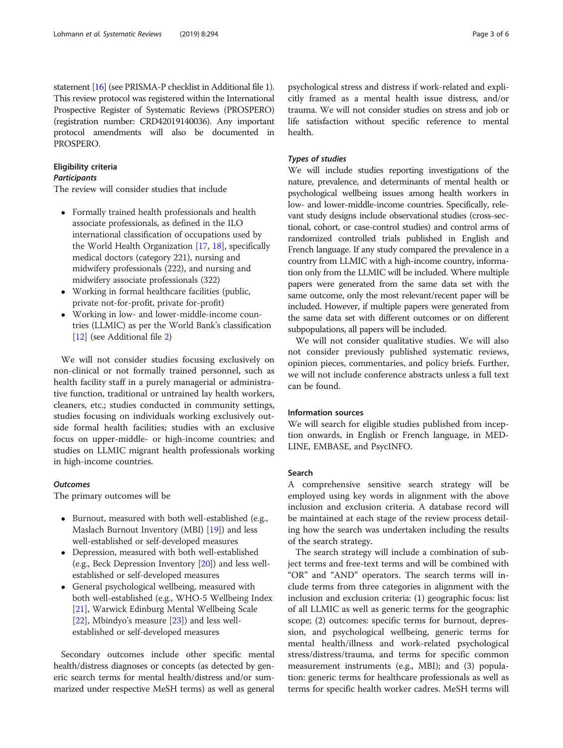statement [\[16\]](#page-5-0) (see PRISMA-P checklist in Additional file [1](#page-5-0)). This review protocol was registered within the International Prospective Register of Systematic Reviews (PROSPERO) (registration number: CRD42019140036). Any important protocol amendments will also be documented in PROSPERO.

## Eligibility criteria **Participants**

The review will consider studies that include

- Formally trained health professionals and health associate professionals, as defined in the ILO international classification of occupations used by the World Health Organization [\[17,](#page-5-0) [18](#page-5-0)], specifically medical doctors (category 221), nursing and midwifery professionals (222), and nursing and midwifery associate professionals (322)
- Working in formal healthcare facilities (public, private not-for-profit, private for-profit)
- Working in low- and lower-middle-income countries (LLMIC) as per the World Bank's classification [[12](#page-5-0)] (see Additional file [2\)](#page-5-0)

We will not consider studies focusing exclusively on non-clinical or not formally trained personnel, such as health facility staff in a purely managerial or administrative function, traditional or untrained lay health workers, cleaners, etc.; studies conducted in community settings, studies focusing on individuals working exclusively outside formal health facilities; studies with an exclusive focus on upper-middle- or high-income countries; and studies on LLMIC migrant health professionals working in high-income countries.

## **Outcomes**

The primary outcomes will be

- Burnout, measured with both well-established (e.g., Maslach Burnout Inventory (MBI) [[19](#page-5-0)]) and less well-established or self-developed measures
- Depression, measured with both well-established (e.g., Beck Depression Inventory [[20](#page-5-0)]) and less wellestablished or self-developed measures
- General psychological wellbeing, measured with both well-established (e.g., WHO-5 Wellbeing Index [[21](#page-5-0)], Warwick Edinburg Mental Wellbeing Scale [[22](#page-5-0)], Mbindyo's measure [\[23\]](#page-5-0)) and less wellestablished or self-developed measures

Secondary outcomes include other specific mental health/distress diagnoses or concepts (as detected by generic search terms for mental health/distress and/or summarized under respective MeSH terms) as well as general psychological stress and distress if work-related and explicitly framed as a mental health issue distress, and/or trauma. We will not consider studies on stress and job or life satisfaction without specific reference to mental health.

## Types of studies

We will include studies reporting investigations of the nature, prevalence, and determinants of mental health or psychological wellbeing issues among health workers in low- and lower-middle-income countries. Specifically, relevant study designs include observational studies (cross-sectional, cohort, or case-control studies) and control arms of randomized controlled trials published in English and French language. If any study compared the prevalence in a country from LLMIC with a high-income country, information only from the LLMIC will be included. Where multiple papers were generated from the same data set with the same outcome, only the most relevant/recent paper will be included. However, if multiple papers were generated from the same data set with different outcomes or on different subpopulations, all papers will be included.

We will not consider qualitative studies. We will also not consider previously published systematic reviews, opinion pieces, commentaries, and policy briefs. Further, we will not include conference abstracts unless a full text can be found.

# Information sources

We will search for eligible studies published from inception onwards, in English or French language, in MED-LINE, EMBASE, and PsycINFO.

## Search

A comprehensive sensitive search strategy will be employed using key words in alignment with the above inclusion and exclusion criteria. A database record will be maintained at each stage of the review process detailing how the search was undertaken including the results of the search strategy.

The search strategy will include a combination of subject terms and free-text terms and will be combined with "OR" and "AND" operators. The search terms will include terms from three categories in alignment with the inclusion and exclusion criteria: (1) geographic focus: list of all LLMIC as well as generic terms for the geographic scope; (2) outcomes: specific terms for burnout, depression, and psychological wellbeing, generic terms for mental health/illness and work-related psychological stress/distress/trauma, and terms for specific common measurement instruments (e.g., MBI); and (3) population: generic terms for healthcare professionals as well as terms for specific health worker cadres. MeSH terms will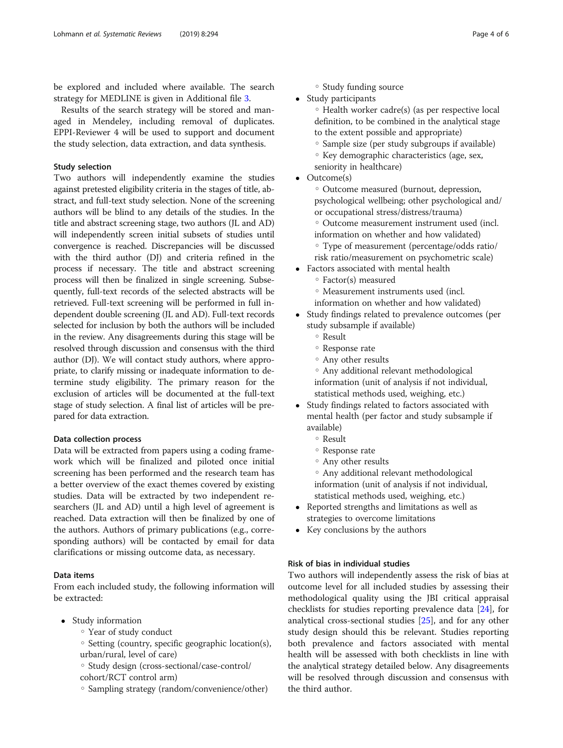be explored and included where available. The search strategy for MEDLINE is given in Additional file [3](#page-5-0).

Results of the search strategy will be stored and managed in Mendeley, including removal of duplicates. EPPI-Reviewer 4 will be used to support and document the study selection, data extraction, and data synthesis.

## Study selection

Two authors will independently examine the studies against pretested eligibility criteria in the stages of title, abstract, and full-text study selection. None of the screening authors will be blind to any details of the studies. In the title and abstract screening stage, two authors (JL and AD) will independently screen initial subsets of studies until convergence is reached. Discrepancies will be discussed with the third author (DJ) and criteria refined in the process if necessary. The title and abstract screening process will then be finalized in single screening. Subsequently, full-text records of the selected abstracts will be retrieved. Full-text screening will be performed in full independent double screening (JL and AD). Full-text records selected for inclusion by both the authors will be included in the review. Any disagreements during this stage will be resolved through discussion and consensus with the third author (DJ). We will contact study authors, where appropriate, to clarify missing or inadequate information to determine study eligibility. The primary reason for the exclusion of articles will be documented at the full-text stage of study selection. A final list of articles will be prepared for data extraction.

## Data collection process

Data will be extracted from papers using a coding framework which will be finalized and piloted once initial screening has been performed and the research team has a better overview of the exact themes covered by existing studies. Data will be extracted by two independent researchers (JL and AD) until a high level of agreement is reached. Data extraction will then be finalized by one of the authors. Authors of primary publications (e.g., corresponding authors) will be contacted by email for data clarifications or missing outcome data, as necessary.

## Data items

From each included study, the following information will be extracted:

- Study information
	- Year of study conduct
	- Setting (country, specific geographic location(s), urban/rural, level of care)
	- Study design (cross-sectional/case-control/ cohort/RCT control arm)
	- Sampling strategy (random/convenience/other)
- Study funding source
- Study participants
	- Health worker cadre(s) (as per respective local definition, to be combined in the analytical stage to the extent possible and appropriate)
	- Sample size (per study subgroups if available)
	- Key demographic characteristics (age, sex,
	- seniority in healthcare)
- Outcome(s)
	- Outcome measured (burnout, depression, psychological wellbeing; other psychological and/ or occupational stress/distress/trauma)
	- Outcome measurement instrument used (incl.
	- information on whether and how validated)
	- Type of measurement (percentage/odds ratio/
	- risk ratio/measurement on psychometric scale)
- Factors associated with mental health
	- Factor(s) measured
	- Measurement instruments used (incl.
	- information on whether and how validated)
- Study findings related to prevalence outcomes (per study subsample if available)
	- Result
	- Response rate
	- Any other results
	- Any additional relevant methodological information (unit of analysis if not individual,
	- statistical methods used, weighing, etc.)
- Study findings related to factors associated with mental health (per factor and study subsample if available)
	- Result
	- Response rate
	- Any other results
	- Any additional relevant methodological information (unit of analysis if not individual, statistical methods used, weighing, etc.)
- Reported strengths and limitations as well as strategies to overcome limitations
- Key conclusions by the authors

# Risk of bias in individual studies

Two authors will independently assess the risk of bias at outcome level for all included studies by assessing their methodological quality using the JBI critical appraisal checklists for studies reporting prevalence data [\[24\]](#page-5-0), for analytical cross-sectional studies [[25\]](#page-5-0), and for any other study design should this be relevant. Studies reporting both prevalence and factors associated with mental health will be assessed with both checklists in line with the analytical strategy detailed below. Any disagreements will be resolved through discussion and consensus with the third author.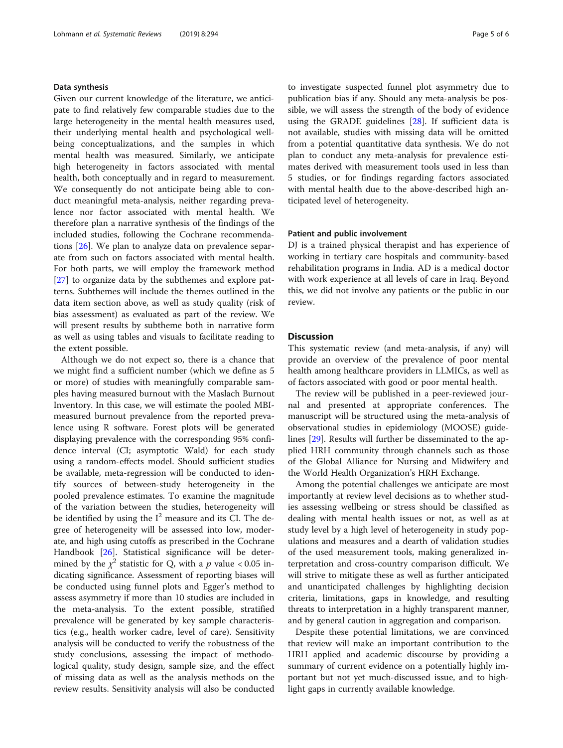## Data synthesis

Given our current knowledge of the literature, we anticipate to find relatively few comparable studies due to the large heterogeneity in the mental health measures used, their underlying mental health and psychological wellbeing conceptualizations, and the samples in which mental health was measured. Similarly, we anticipate high heterogeneity in factors associated with mental health, both conceptually and in regard to measurement. We consequently do not anticipate being able to conduct meaningful meta-analysis, neither regarding prevalence nor factor associated with mental health. We therefore plan a narrative synthesis of the findings of the included studies, following the Cochrane recommendations [\[26\]](#page-5-0). We plan to analyze data on prevalence separate from such on factors associated with mental health. For both parts, we will employ the framework method [[27\]](#page-5-0) to organize data by the subthemes and explore patterns. Subthemes will include the themes outlined in the data item section above, as well as study quality (risk of bias assessment) as evaluated as part of the review. We will present results by subtheme both in narrative form as well as using tables and visuals to facilitate reading to the extent possible.

Although we do not expect so, there is a chance that we might find a sufficient number (which we define as 5 or more) of studies with meaningfully comparable samples having measured burnout with the Maslach Burnout Inventory. In this case, we will estimate the pooled MBImeasured burnout prevalence from the reported prevalence using R software. Forest plots will be generated displaying prevalence with the corresponding 95% confidence interval (CI; asymptotic Wald) for each study using a random-effects model. Should sufficient studies be available, meta-regression will be conducted to identify sources of between-study heterogeneity in the pooled prevalence estimates. To examine the magnitude of the variation between the studies, heterogeneity will be identified by using the  $I^2$  measure and its CI. The degree of heterogeneity will be assessed into low, moderate, and high using cutoffs as prescribed in the Cochrane Handbook [[26\]](#page-5-0). Statistical significance will be determined by the  $\chi^2$  statistic for Q, with a p value < 0.05 indicating significance. Assessment of reporting biases will be conducted using funnel plots and Egger's method to assess asymmetry if more than 10 studies are included in the meta-analysis. To the extent possible, stratified prevalence will be generated by key sample characteristics (e.g., health worker cadre, level of care). Sensitivity analysis will be conducted to verify the robustness of the study conclusions, assessing the impact of methodological quality, study design, sample size, and the effect of missing data as well as the analysis methods on the review results. Sensitivity analysis will also be conducted

to investigate suspected funnel plot asymmetry due to publication bias if any. Should any meta-analysis be possible, we will assess the strength of the body of evidence using the GRADE guidelines  $[28]$  $[28]$ . If sufficient data is not available, studies with missing data will be omitted from a potential quantitative data synthesis. We do not plan to conduct any meta-analysis for prevalence estimates derived with measurement tools used in less than 5 studies, or for findings regarding factors associated with mental health due to the above-described high anticipated level of heterogeneity.

## Patient and public involvement

DJ is a trained physical therapist and has experience of working in tertiary care hospitals and community-based rehabilitation programs in India. AD is a medical doctor with work experience at all levels of care in Iraq. Beyond this, we did not involve any patients or the public in our review.

#### **Discussion**

This systematic review (and meta-analysis, if any) will provide an overview of the prevalence of poor mental health among healthcare providers in LLMICs, as well as of factors associated with good or poor mental health.

The review will be published in a peer-reviewed journal and presented at appropriate conferences. The manuscript will be structured using the meta-analysis of observational studies in epidemiology (MOOSE) guidelines [[29\]](#page-5-0). Results will further be disseminated to the applied HRH community through channels such as those of the Global Alliance for Nursing and Midwifery and the World Health Organization's HRH Exchange.

Among the potential challenges we anticipate are most importantly at review level decisions as to whether studies assessing wellbeing or stress should be classified as dealing with mental health issues or not, as well as at study level by a high level of heterogeneity in study populations and measures and a dearth of validation studies of the used measurement tools, making generalized interpretation and cross-country comparison difficult. We will strive to mitigate these as well as further anticipated and unanticipated challenges by highlighting decision criteria, limitations, gaps in knowledge, and resulting threats to interpretation in a highly transparent manner, and by general caution in aggregation and comparison.

Despite these potential limitations, we are convinced that review will make an important contribution to the HRH applied and academic discourse by providing a summary of current evidence on a potentially highly important but not yet much-discussed issue, and to highlight gaps in currently available knowledge.